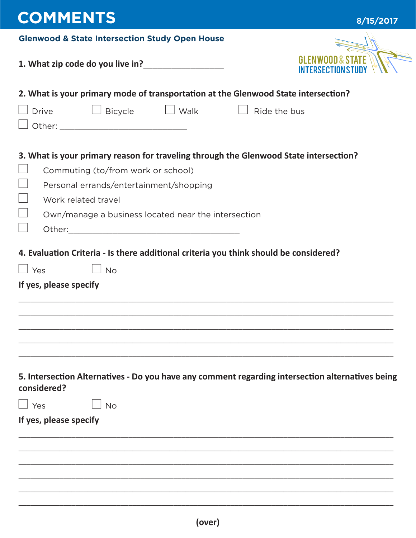| <b>COMMENTS</b>                                                                                                                                                      | 8/15/2017    |
|----------------------------------------------------------------------------------------------------------------------------------------------------------------------|--------------|
| <b>Glenwood &amp; State Intersection Study Open House</b>                                                                                                            |              |
|                                                                                                                                                                      |              |
| 2. What is your primary mode of transportation at the Glenwood State intersection?                                                                                   |              |
| $\Box$ Bicycle<br>$\Box$ Walk<br><b>Drive</b>                                                                                                                        | Ride the bus |
| 3. What is your primary reason for traveling through the Glenwood State intersection?                                                                                |              |
| Commuting (to/from work or school)                                                                                                                                   |              |
| Personal errands/entertainment/shopping                                                                                                                              |              |
| Work related travel                                                                                                                                                  |              |
| Own/manage a business located near the intersection                                                                                                                  |              |
|                                                                                                                                                                      |              |
| 4. Evaluation Criteria - Is there additional criteria you think should be considered?<br>$\Box$ Yes<br><b>No</b><br>If yes, please specify                           |              |
| 5. Intersection Alternatives - Do you have any comment regarding intersection alternatives being<br>considered?<br>$\Box$ Yes<br><b>No</b><br>If yes, please specify |              |
|                                                                                                                                                                      |              |
|                                                                                                                                                                      |              |
|                                                                                                                                                                      |              |
|                                                                                                                                                                      |              |
|                                                                                                                                                                      |              |